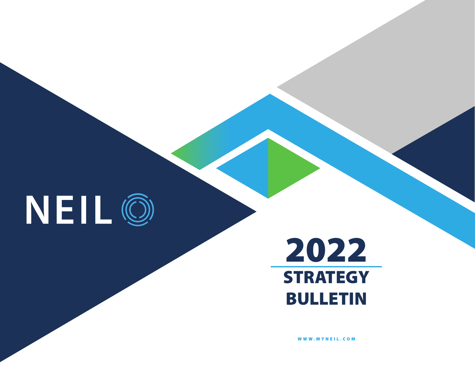

# 2022 **STRATEGY** BULLETIN

[WWW.MYNEIL.COM](https://www.MYNEIL.com)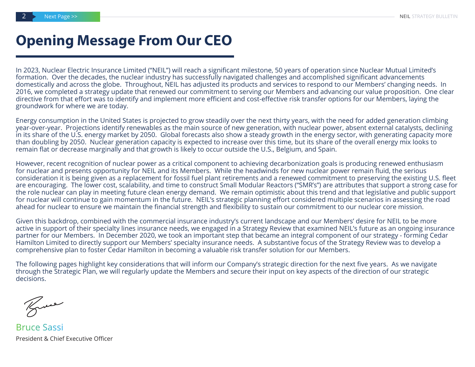#### **Opening Message From Our CEO**

In 2023, Nuclear Electric Insurance Limited ("NEIL") will reach a significant milestone, 50 years of operation since Nuclear Mutual Limited's formation. Over the decades, the nuclear industry has successfully navigated challenges and accomplished significant advancements domestically and across the globe. Throughout, NEIL has adjusted its products and services to respond to our Members' changing needs. In 2016, we completed a strategy update that renewed our commitment to serving our Members and advancing our value proposition. One clear directive from that effort was to identify and implement more efficient and cost-effective risk transfer options for our Members, laying the groundwork for where we are today.

Energy consumption in the United States is projected to grow steadily over the next thirty years, with the need for added generation climbing year-over-year. Projections identify renewables as the main source of new generation, with nuclear power, absent external catalysts, declining in its share of the U.S. energy market by 2050. Global forecasts also show a steady growth in the energy sector, with generating capacity more than doubling by 2050. Nuclear generation capacity is expected to increase over this time, but its share of the overall energy mix looks to remain flat or decrease marginally and that growth is likely to occur outside the U.S., Belgium, and Spain.

However, recent recognition of nuclear power as a critical component to achieving decarbonization goals is producing renewed enthusiasm for nuclear and presents opportunity for NEIL and its Members. While the headwinds for new nuclear power remain fluid, the serious consideration it is being given as a replacement for fossil fuel plant retirements and a renewed commitment to preserving the existing U.S. fleet are encouraging. The lower cost, scalability, and time to construct Small Modular Reactors ("SMR's") are attributes that support a strong case for the role nuclear can play in meeting future clean energy demand. We remain optimistic about this trend and that legislative and public support for nuclear will continue to gain momentum in the future. NEIL's strategic planning effort considered multiple scenarios in assessing the road ahead for nuclear to ensure we maintain the financial strength and flexibility to sustain our commitment to our nuclear core mission.

Given this backdrop, combined with the commercial insurance industry's current landscape and our Members' desire for NEIL to be more active in support of their specialty lines insurance needs, we engaged in a Strategy Review that examined NEIL's future as an ongoing insurance partner for our Members. In December 2020, we took an important step that became an integral component of our strategy - forming Cedar Hamilton Limited to directly support our Members' specialty insurance needs. A substantive focus of the Strategy Review was to develop a comprehensive plan to foster Cedar Hamilton in becoming a valuable risk transfer solution for our Members.

The following pages highlight key considerations that will inform our Company's strategic direction for the next five years. As we navigate through the Strategic Plan, we will regularly update the Members and secure their input on key aspects of the direction of our strategic decisions.

Knee

President & Chief Executive Officer Bruce Sassi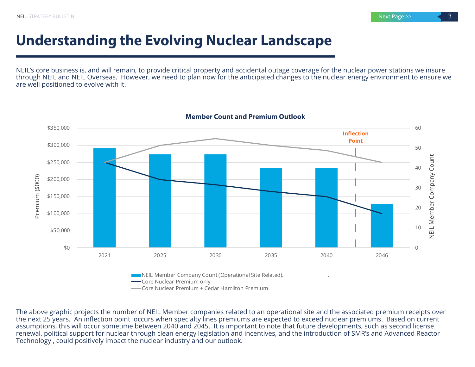### **Understanding the Evolving Nuclear Landscape**

NEIL's core business is, and will remain, to provide critical property and accidental outage coverage for the nuclear power stations we insure through NEIL and NEIL Overseas. However, we need to plan now for the anticipated changes to the nuclear energy environment to ensure we are well positioned to evolve with it.



The above graphic projects the number of NEIL Member companies related to an operational site and the associated premium receipts over the next 25 years. An inflection point occurs when specialty lines premiums are expected to exceed nuclear premiums. Based on current assumptions, this will occur sometime between 2040 and 2045. It is important to note that future developments, such as second license renewal, political support for nuclear through clean energy legislation and incentives, and the introduction of SMR's and Advanced Reactor Technology , could positively impact the nuclear industry and our outlook.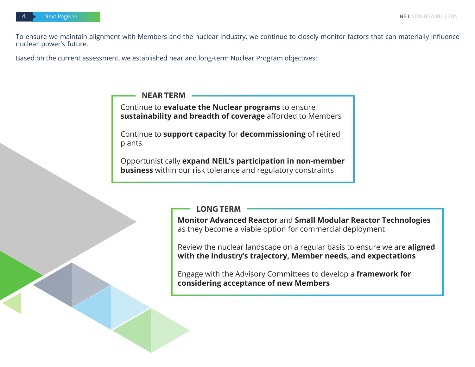To ensure we maintain alignment with Members and the nuclear industry, we continue to closely monitor factors that can materially influence nuclear power's future.

Based on the current assessment, we established near and long-term Nuclear Program objectives:

**NEAR TERM**

Continue to **evaluate the Nuclear programs** to ensure **sustainability and breadth of coverage** afforded to Members

Continue to **support capacity** for **decommissioning** of retired plants

Opportunistically **expand NEIL's participation in non-member business** within our risk tolerance and regulatory constraints

**LONG TERM**

**Monitor Advanced Reactor** and **Small Modular Reactor Technologies**  as they become a viable option for commercial deployment

Review the nuclear landscape on a regular basis to ensure we are **aligned with the industry's trajectory, Member needs, and expectations**

Engage with the Advisory Committees to develop a **framework for considering acceptance of new Members**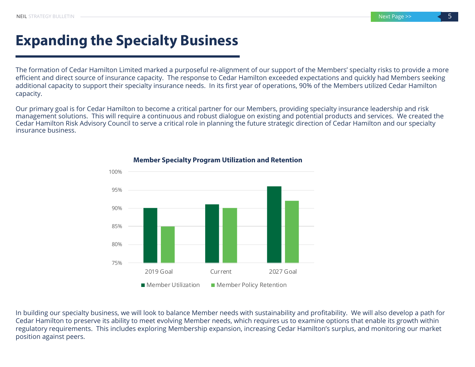#### **Expanding the Specialty Business**

The formation of Cedar Hamilton Limited marked a purposeful re-alignment of our support of the Members' specialty risks to provide a more efficient and direct source of insurance capacity. The response to Cedar Hamilton exceeded expectations and quickly had Members seeking additional capacity to support their specialty insurance needs. In its first year of operations, 90% of the Members utilized Cedar Hamilton capacity.

Our primary goal is for Cedar Hamilton to become a critical partner for our Members, providing specialty insurance leadership and risk management solutions. This will require a continuous and robust dialogue on existing and potential products and services. We created the Cedar Hamilton Risk Advisory Council to serve a critical role in planning the future strategic direction of Cedar Hamilton and our specialty insurance business.



#### **Member Specialty Program Utilization and Retention**

In building our specialty business, we will look to balance Member needs with sustainability and profitability. We will also develop a path for Cedar Hamilton to preserve its ability to meet evolving Member needs, which requires us to examine options that enable its growth within regulatory requirements. This includes exploring Membership expansion, increasing Cedar Hamilton's surplus, and monitoring our market position against peers.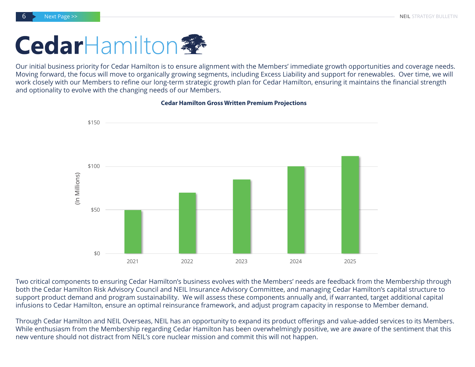# **Cedar**Hamilton

Our initial business priority for Cedar Hamilton is to ensure alignment with the Members' immediate growth opportunities and coverage needs. Moving forward, the focus will move to organically growing segments, including Excess Liability and support for renewables. Over time, we will work closely with our Members to refine our long-term strategic growth plan for Cedar Hamilton, ensuring it maintains the financial strength and optionality to evolve with the changing needs of our Members.

**Cedar Hamilton Gross Written Premium Projections**



Two critical components to ensuring Cedar Hamilton's business evolves with the Members' needs are feedback from the Membership through both the Cedar Hamilton Risk Advisory Council and NEIL Insurance Advisory Committee, and managing Cedar Hamilton's capital structure to support product demand and program sustainability. We will assess these components annually and, if warranted, target additional capital infusions to Cedar Hamilton, ensure an optimal reinsurance framework, and adjust program capacity in response to Member demand.

Through Cedar Hamilton and NEIL Overseas, NEIL has an opportunity to expand its product offerings and value-added services to its Members. While enthusiasm from the Membership regarding Cedar Hamilton has been overwhelmingly positive, we are aware of the sentiment that this new venture should not distract from NEIL's core nuclear mission and commit this will not happen.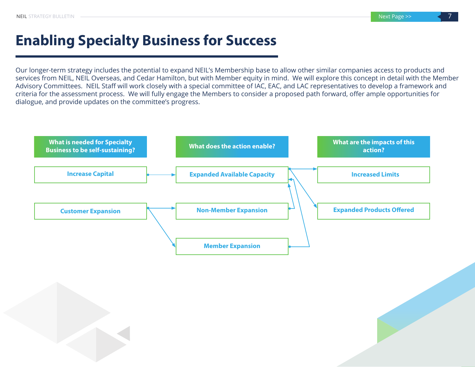## **Enabling Specialty Business for Success**

Our longer-term strategy includes the potential to expand NEIL's Membership base to allow other similar companies access to products and services from NEIL, NEIL Overseas, and Cedar Hamilton, but with Member equity in mind. We will explore this concept in detail with the Member Advisory Committees. NEIL Staff will work closely with a special committee of IAC, EAC, and LAC representatives to develop a framework and criteria for the assessment process. We will fully engage the Members to consider a proposed path forward, offer ample opportunities for dialogue, and provide updates on the committee's progress.

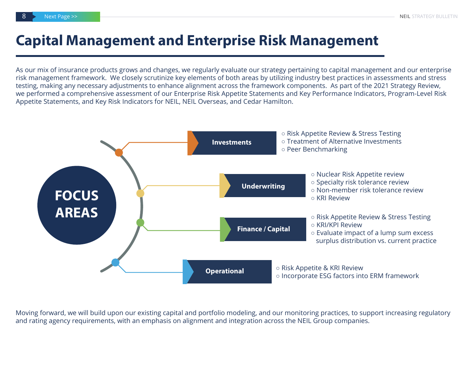#### **Capital Management and Enterprise Risk Management**

As our mix of insurance products grows and changes, we regularly evaluate our strategy pertaining to capital management and our enterprise risk management framework. We closely scrutinize key elements of both areas by utilizing industry best practices in assessments and stress testing, making any necessary adjustments to enhance alignment across the framework components. As part of the 2021 Strategy Review, we performed a comprehensive assessment of our Enterprise Risk Appetite Statements and Key Performance Indicators, Program-Level Risk Appetite Statements, and Key Risk Indicators for NEIL, NEIL Overseas, and Cedar Hamilton.



Moving forward, we will build upon our existing capital and portfolio modeling, and our monitoring practices, to support increasing regulatory and rating agency requirements, with an emphasis on alignment and integration across the NEIL Group companies.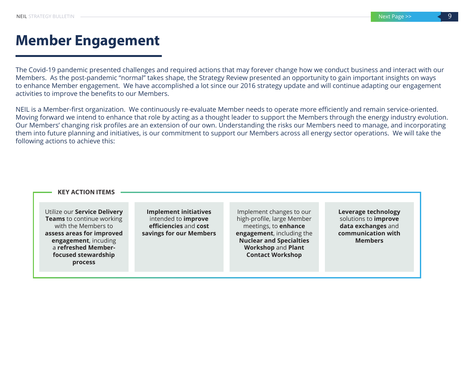#### **Member Engagement**

The Covid-19 pandemic presented challenges and required actions that may forever change how we conduct business and interact with our Members. As the post-pandemic "normal" takes shape, the Strategy Review presented an opportunity to gain important insights on ways to enhance Member engagement. We have accomplished a lot since our 2016 strategy update and will continue adapting our engagement activities to improve the benefits to our Members.

NEIL is a Member-first organization. We continuously re-evaluate Member needs to operate more efficiently and remain service-oriented. Moving forward we intend to enhance that role by acting as a thought leader to support the Members through the energy industry evolution. Our Members' changing risk profiles are an extension of our own. Understanding the risks our Members need to manage, and incorporating them into future planning and initiatives, is our commitment to support our Members across all energy sector operations. We will take the following actions to achieve this:

#### **KEY ACTION ITEMS**

Utilize our **Service Delivery Teams** to continue working with the Members to **assess areas for improved engagement**, incuding a **refreshed Memberfocused stewardship process**

**Implement initiatives**  intended to **improve efficiencies** and **cost savings for our Members**

Implement changes to our high-profile, large Member meetings, to **enhance engagement**, including the **Nuclear and Specialties Workshop** and **Plant Contact Workshop**

**Leverage technology**  solutions to **improve data exchanges** and **communication with Members**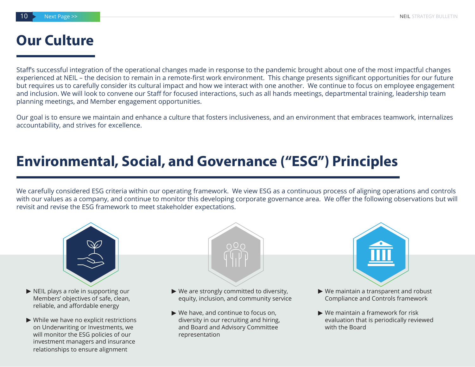#### **Our Culture**

Staff's successful integration of the operational changes made in response to the pandemic brought about one of the most impactful changes experienced at NEIL – the decision to remain in a remote-first work environment. This change presents significant opportunities for our future but requires us to carefully consider its cultural impact and how we interact with one another. We continue to focus on employee engagement and inclusion. We will look to convene our Staff for focused interactions, such as all hands meetings, departmental training, leadership team planning meetings, and Member engagement opportunities.

Our goal is to ensure we maintain and enhance a culture that fosters inclusiveness, and an environment that embraces teamwork, internalizes accountability, and strives for excellence.

#### **Environmental, Social, and Governance ("ESG") Principles**

We carefully considered ESG criteria within our operating framework. We view ESG as a continuous process of aligning operations and controls with our values as a company, and continue to monitor this developing corporate governance area. We offer the following observations but will revisit and revise the ESG framework to meet stakeholder expectations.

n O n



- ▶ NEIL plays a role in supporting our Members' objectives of safe, clean, reliable, and affordable energy
- While we have no explicit restrictions **►** on Underwriting or Investments, we will monitor the ESG policies of our investment managers and insurance relationships to ensure alignment
- We are strongly committed to diversity, **► ►** equity, inclusion, and community service
- We have, and continue to focus on, **►** diversity in our recruiting and hiring, and Board and Advisory Committee representation



- ▶ We maintain a transparent and robust Compliance and Controls framework
- We maintain a framework for risk **►**evaluation that is periodically reviewed with the Board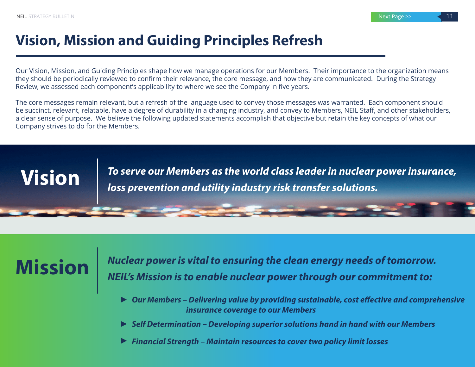### **Vision, Mission and Guiding Principles Refresh**

Our Vision, Mission, and Guiding Principles shape how we manage operations for our Members. Their importance to the organization means they should be periodically reviewed to confirm their relevance, the core message, and how they are communicated. During the Strategy Review, we assessed each component's applicability to where we see the Company in five years.

The core messages remain relevant, but a refresh of the language used to convey those messages was warranted. Each component should be succinct, relevant, relatable, have a degree of durability in a changing industry, and convey to Members, NEIL Staff, and other stakeholders, a clear sense of purpose. We believe the following updated statements accomplish that objective but retain the key concepts of what our Company strives to do for the Members.

*To serve our Members as the world class leader in nuclear power insurance,* **Vision** *loss prevention and utility industry risk transfer solutions.*

*Nuclear power is vital to ensuring the clean energy needs of tomorrow.* **Mission** *NEIL's Mission is to enable nuclear power through our commitment to:*

- *Our Members Delivering value by providing sustainable, cost effective and comprehensive*  **►**  *insurance coverage to our Members*
- *Self Determination Developing superior solutions hand in hand with our Members* **►**
- *Financial Strength Maintain resources to cover two policy limit losses* **►**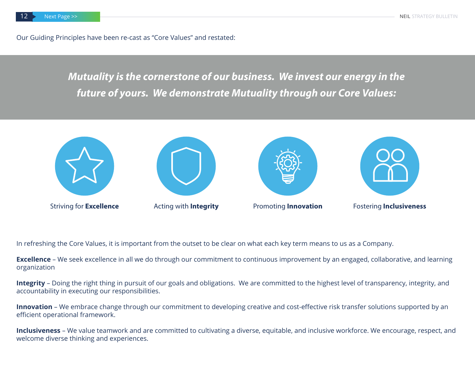Our Guiding Principles have been re-cast as "Core Values" and restated:

*future of yours. We demonstrate Mutuality through our Core Values: Mutuality is the cornerstone of our business. We invest our energy in the future of yours. We demonstrate Mutuality through our Core Values:*



In refreshing the Core Values, it is important from the outset to be clear on what each key term means to us as a Company.

**Excellence** – We seek excellence in all we do through our commitment to continuous improvement by an engaged, collaborative, and learning organization

**Integrity** – Doing the right thing in pursuit of our goals and obligations. We are committed to the highest level of transparency, integrity, and accountability in executing our responsibilities.

**Innovation** – We embrace change through our commitment to developing creative and cost-effective risk transfer solutions supported by an efficient operational framework.

**Inclusiveness** – We value teamwork and are committed to cultivating a diverse, equitable, and inclusive workforce. We encourage, respect, and welcome diverse thinking and experiences.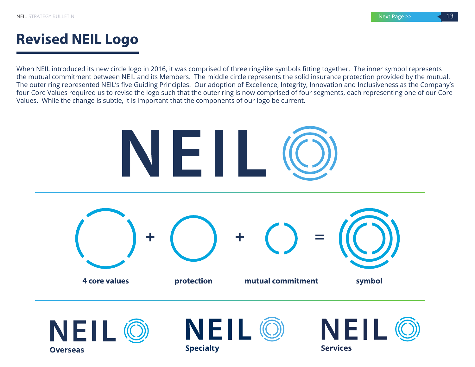## **Revised NEIL Logo**

When NEIL introduced its new circle logo in 2016, it was comprised of three ring-like symbols fitting together. The inner symbol represents the mutual commitment between NEIL and its Members. The middle circle represents the solid insurance protection provided by the mutual. The outer ring represented NEIL's five Guiding Principles. Our adoption of Excellence, Integrity, Innovation and Inclusiveness as the Company's four Core Values required us to revise the logo such that the outer ring is now comprised of four segments, each representing one of our Core Values. While the change is subtle, it is important that the components of our logo be current.